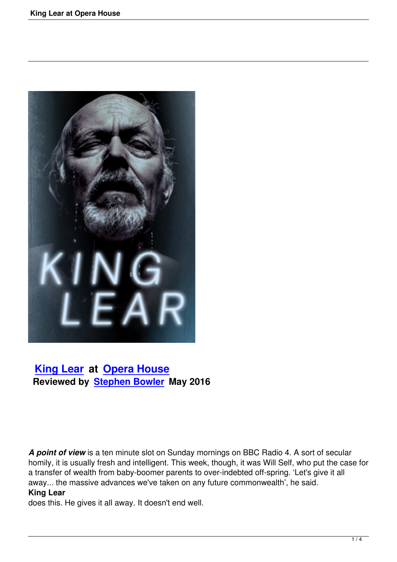

# **King Lear at Opera House Reviewed by Stephen Bowler May 2016**

*A point of view* is a ten minute slot on Sunday mornings on BBC Radio 4. A sort of secular homily, it is usually fresh and intelligent. This week, though, it was Will Self, who put the case for a transfer of wealth from baby-boomer parents to over-indebted off-spring. 'Let's give it all away... the massive advances we've taken on any future commonwealth', he said. **King Lear**

does this. He gives it all away. It doesn't end well.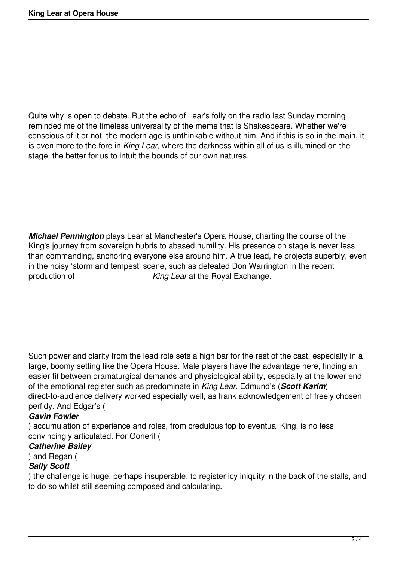Quite why is open to debate. But the echo of Lear's folly on the radio last Sunday morning reminded me of the timeless universality of the meme that is Shakespeare. Whether we're conscious of it or not, the modern age is unthinkable without him. And if this is so in the main, it is even more to the fore in *King Lear*, where the darkness within all of us is illumined on the stage, the better for us to intuit the bounds of our own natures.

*Michael Pennington* plays Lear at Manchester's Opera House, charting the course of the King's journey from sovereign hubris to abased humility. His presence on stage is never less than commanding, anchoring everyone else around him. A true lead, he projects superbly, even in the noisy 'storm and tempest' scene, such as defeated Don Warrington in the recent<br> **King Lear at the Royal Exchange**. King Lear at the Royal Exchange.

Such power and clarity from the lead role sets a high bar for the rest of the cast, especially in a large, boomy setting like the Opera House. Male players have the advantage here, finding an easier fit between dramaturgical demands and physiological ability, especially at the lower end of the emotional register such as predominate in *King Lear*. Edmund's (*Scott Karim*) direct-to-audience delivery worked especially well, as frank acknowledgement of freely chosen perfidy. And Edgar's (

### *Gavin Fowler*

) accumulation of experience and roles, from credulous fop to eventual King, is no less convincingly articulated. For Goneril (

#### *Catherine Bailey*

#### ) and Regan (

## *Sally Scott*

) the challenge is huge, perhaps insuperable; to register icy iniquity in the back of the stalls, and to do so whilst still seeming composed and calculating.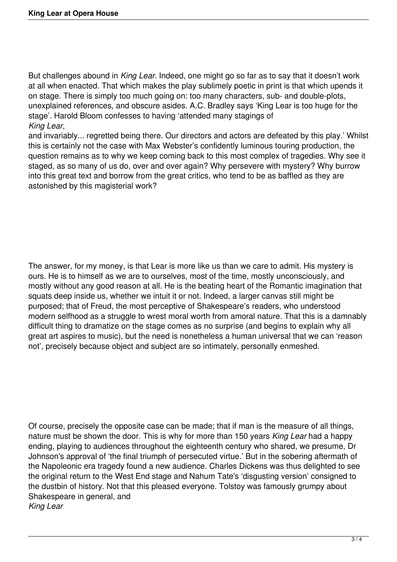But challenges abound in *King Lear*. Indeed, one might go so far as to say that it doesn't work at all when enacted. That which makes the play sublimely poetic in print is that which upends it on stage. There is simply too much going on: too many characters, sub- and double-plots, unexplained references, and obscure asides. A.C. Bradley says 'King Lear is too huge for the stage'. Harold Bloom confesses to having 'attended many stagings of *King Lear,*

and invariably... regretted being there. Our directors and actors are defeated by this play.' Whilst this is certainly not the case with Max Webster's confidently luminous touring production, the question remains as to why we keep coming back to this most complex of tragedies. Why see it staged, as so many of us do, over and over again? Why persevere with mystery? Why burrow into this great text and borrow from the great critics, who tend to be as baffled as they are astonished by this magisterial work?

The answer, for my money, is that Lear is more like us than we care to admit. His mystery is ours. He is to himself as we are to ourselves, most of the time, mostly unconsciously, and mostly without any good reason at all. He is the beating heart of the Romantic imagination that squats deep inside us, whether we intuit it or not. Indeed, a larger canvas still might be purposed; that of Freud, the most perceptive of Shakespeare's readers, who understood modern selfhood as a struggle to wrest moral worth from amoral nature. That this is a damnably difficult thing to dramatize on the stage comes as no surprise (and begins to explain why all great art aspires to music), but the need is nonetheless a human universal that we can 'reason not', precisely because object and subject are so intimately, personally enmeshed.

Of course, precisely the opposite case can be made; that if man is the measure of all things, nature must be shown the door. This is why for more than 150 years *King Lear* had a happy ending, playing to audiences throughout the eighteenth century who shared, we presume, Dr Johnson's approval of 'the final triumph of persecuted virtue.' But in the sobering aftermath of the Napoleonic era tragedy found a new audience. Charles Dickens was thus delighted to see the original return to the West End stage and Nahum Tate's 'disgusting version' consigned to the dustbin of history. Not that this pleased everyone. Tolstoy was famously grumpy about Shakespeare in general, and *King Lear*